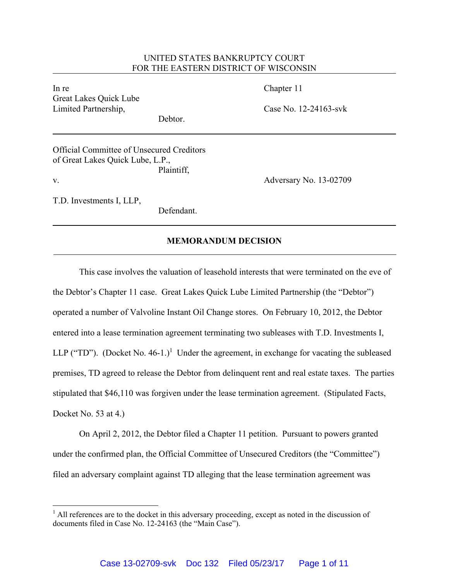## UNITED STATES BANKRUPTCY COURT FOR THE EASTERN DISTRICT OF WISCONSIN

In re Chapter 11 Great Lakes Quick Lube Limited Partnership, Case No. 12-24163-svk

Debtor.

Official Committee of Unsecured Creditors of Great Lakes Quick Lube, L.P., Plaintiff, v. Adversary No. 13-02709

T.D. Investments I, LLP,

Defendant.

## **MEMORANDUM DECISION**

This case involves the valuation of leasehold interests that were terminated on the eve of the Debtor's Chapter 11 case. Great Lakes Quick Lube Limited Partnership (the "Debtor") operated a number of Valvoline Instant Oil Change stores. On February 10, 2012, the Debtor entered into a lease termination agreement terminating two subleases with T.D. Investments I, LLP ("TD"). (Docket No. 46-1.)<sup>1</sup> Under the agreement, in exchange for vacating the subleased premises, TD agreed to release the Debtor from delinquent rent and real estate taxes. The parties stipulated that \$46,110 was forgiven under the lease termination agreement. (Stipulated Facts, Docket No. 53 at 4.)

On April 2, 2012, the Debtor filed a Chapter 11 petition. Pursuant to powers granted under the confirmed plan, the Official Committee of Unsecured Creditors (the "Committee") filed an adversary complaint against TD alleging that the lease termination agreement was

 $<sup>1</sup>$  All references are to the docket in this adversary proceeding, except as noted in the discussion of</sup> documents filed in Case No. 12-24163 (the "Main Case").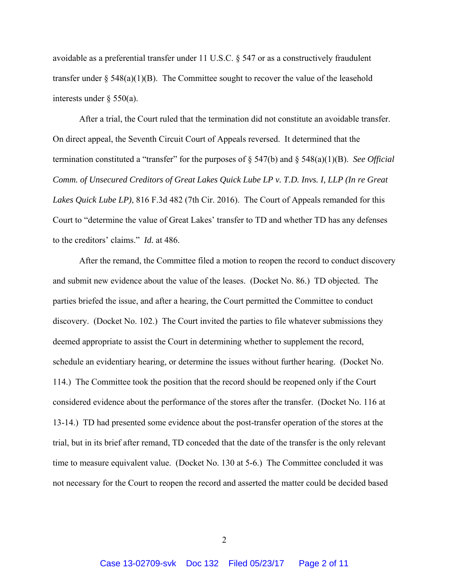avoidable as a preferential transfer under 11 U.S.C. § 547 or as a constructively fraudulent transfer under  $\S$  548(a)(1)(B). The Committee sought to recover the value of the leasehold interests under § 550(a).

 After a trial, the Court ruled that the termination did not constitute an avoidable transfer. On direct appeal, the Seventh Circuit Court of Appeals reversed. It determined that the termination constituted a "transfer" for the purposes of § 547(b) and § 548(a)(1)(B). *See Official Comm. of Unsecured Creditors of Great Lakes Quick Lube LP v. T.D. Invs. I, LLP (In re Great Lakes Quick Lube LP)*, 816 F.3d 482 (7th Cir. 2016). The Court of Appeals remanded for this Court to "determine the value of Great Lakes' transfer to TD and whether TD has any defenses to the creditors' claims." *Id.* at 486.

 After the remand, the Committee filed a motion to reopen the record to conduct discovery and submit new evidence about the value of the leases. (Docket No. 86.) TD objected. The parties briefed the issue, and after a hearing, the Court permitted the Committee to conduct discovery. (Docket No. 102.) The Court invited the parties to file whatever submissions they deemed appropriate to assist the Court in determining whether to supplement the record, schedule an evidentiary hearing, or determine the issues without further hearing. (Docket No. 114.) The Committee took the position that the record should be reopened only if the Court considered evidence about the performance of the stores after the transfer. (Docket No. 116 at 13-14.) TD had presented some evidence about the post-transfer operation of the stores at the trial, but in its brief after remand, TD conceded that the date of the transfer is the only relevant time to measure equivalent value. (Docket No. 130 at 5-6.) The Committee concluded it was not necessary for the Court to reopen the record and asserted the matter could be decided based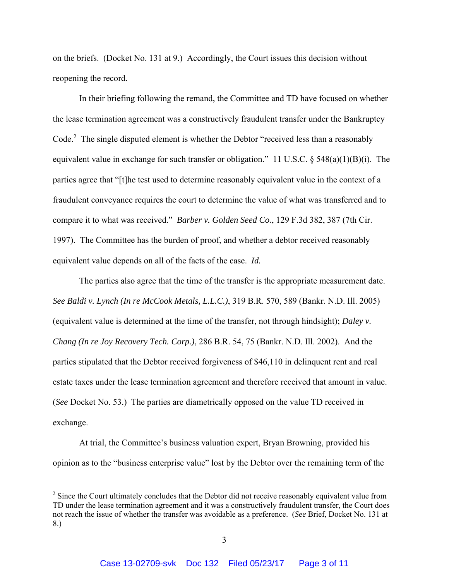on the briefs. (Docket No. 131 at 9.) Accordingly, the Court issues this decision without reopening the record.

 In their briefing following the remand, the Committee and TD have focused on whether the lease termination agreement was a constructively fraudulent transfer under the Bankruptcy Code.<sup>2</sup> The single disputed element is whether the Debtor "received less than a reasonably equivalent value in exchange for such transfer or obligation." 11 U.S.C.  $\S$  548(a)(1)(B)(i). The parties agree that "[t]he test used to determine reasonably equivalent value in the context of a fraudulent conveyance requires the court to determine the value of what was transferred and to compare it to what was received." *Barber v. Golden Seed Co.*, 129 F.3d 382, 387 (7th Cir. 1997). The Committee has the burden of proof, and whether a debtor received reasonably equivalent value depends on all of the facts of the case. *Id.*

The parties also agree that the time of the transfer is the appropriate measurement date. *See Baldi v. Lynch (In re McCook Metals, L.L.C.)*, 319 B.R. 570, 589 (Bankr. N.D. Ill. 2005) (equivalent value is determined at the time of the transfer, not through hindsight); *Daley v. Chang (In re Joy Recovery Tech. Corp.)*, 286 B.R. 54, 75 (Bankr. N.D. Ill. 2002). And the parties stipulated that the Debtor received forgiveness of \$46,110 in delinquent rent and real estate taxes under the lease termination agreement and therefore received that amount in value. (*See* Docket No. 53.) The parties are diametrically opposed on the value TD received in exchange.

 At trial, the Committee's business valuation expert, Bryan Browning, provided his opinion as to the "business enterprise value" lost by the Debtor over the remaining term of the

 $2^2$  Since the Court ultimately concludes that the Debtor did not receive reasonably equivalent value from TD under the lease termination agreement and it was a constructively fraudulent transfer, the Court does not reach the issue of whether the transfer was avoidable as a preference. (*See* Brief, Docket No. 131 at 8.)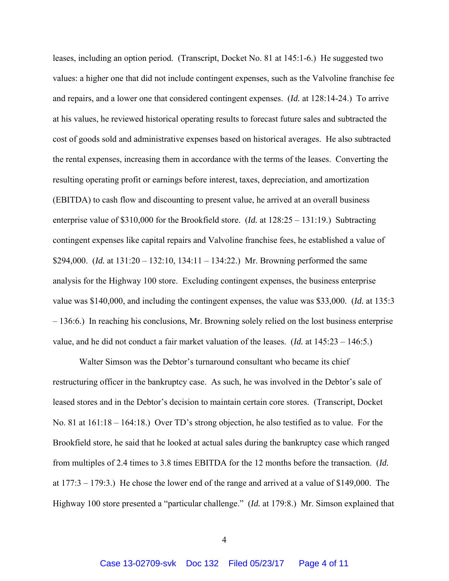leases, including an option period. (Transcript, Docket No. 81 at 145:1-6.) He suggested two values: a higher one that did not include contingent expenses, such as the Valvoline franchise fee and repairs, and a lower one that considered contingent expenses. (*Id.* at 128:14-24.) To arrive at his values, he reviewed historical operating results to forecast future sales and subtracted the cost of goods sold and administrative expenses based on historical averages. He also subtracted the rental expenses, increasing them in accordance with the terms of the leases. Converting the resulting operating profit or earnings before interest, taxes, depreciation, and amortization (EBITDA) to cash flow and discounting to present value, he arrived at an overall business enterprise value of \$310,000 for the Brookfield store. (*Id.* at 128:25 – 131:19.) Subtracting contingent expenses like capital repairs and Valvoline franchise fees, he established a value of \$294,000. (*Id.* at 131:20 – 132:10, 134:11 – 134:22.) Mr. Browning performed the same analysis for the Highway 100 store. Excluding contingent expenses, the business enterprise value was \$140,000, and including the contingent expenses, the value was \$33,000. (*Id.* at 135:3 – 136:6.) In reaching his conclusions, Mr. Browning solely relied on the lost business enterprise value, and he did not conduct a fair market valuation of the leases. (*Id.* at 145:23 – 146:5.)

Walter Simson was the Debtor's turnaround consultant who became its chief restructuring officer in the bankruptcy case. As such, he was involved in the Debtor's sale of leased stores and in the Debtor's decision to maintain certain core stores. (Transcript, Docket No. 81 at 161:18 – 164:18.) Over TD's strong objection, he also testified as to value. For the Brookfield store, he said that he looked at actual sales during the bankruptcy case which ranged from multiples of 2.4 times to 3.8 times EBITDA for the 12 months before the transaction. (*Id.* at 177:3 – 179:3.) He chose the lower end of the range and arrived at a value of \$149,000. The Highway 100 store presented a "particular challenge." (*Id.* at 179:8.) Mr. Simson explained that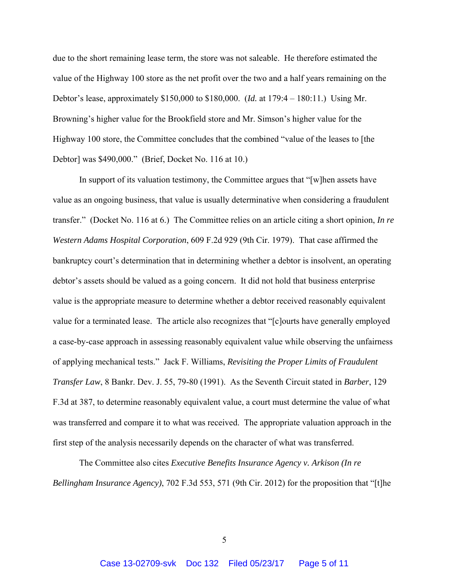due to the short remaining lease term, the store was not saleable. He therefore estimated the value of the Highway 100 store as the net profit over the two and a half years remaining on the Debtor's lease, approximately \$150,000 to \$180,000. (*Id.* at 179:4 – 180:11.) Using Mr. Browning's higher value for the Brookfield store and Mr. Simson's higher value for the Highway 100 store, the Committee concludes that the combined "value of the leases to [the Debtor] was \$490,000." (Brief, Docket No. 116 at 10.)

In support of its valuation testimony, the Committee argues that "[w]hen assets have value as an ongoing business, that value is usually determinative when considering a fraudulent transfer." (Docket No. 116 at 6.) The Committee relies on an article citing a short opinion, *In re Western Adams Hospital Corporation*, 609 F.2d 929 (9th Cir. 1979). That case affirmed the bankruptcy court's determination that in determining whether a debtor is insolvent, an operating debtor's assets should be valued as a going concern. It did not hold that business enterprise value is the appropriate measure to determine whether a debtor received reasonably equivalent value for a terminated lease. The article also recognizes that "[c]ourts have generally employed a case-by-case approach in assessing reasonably equivalent value while observing the unfairness of applying mechanical tests." Jack F. Williams, *Revisiting the Proper Limits of Fraudulent Transfer Law*, 8 Bankr. Dev. J. 55, 79-80 (1991). As the Seventh Circuit stated in *Barber*, 129 F.3d at 387, to determine reasonably equivalent value, a court must determine the value of what was transferred and compare it to what was received. The appropriate valuation approach in the first step of the analysis necessarily depends on the character of what was transferred.

The Committee also cites *Executive Benefits Insurance Agency v. Arkison (In re Bellingham Insurance Agency)*, 702 F.3d 553, 571 (9th Cir. 2012) for the proposition that "[t]he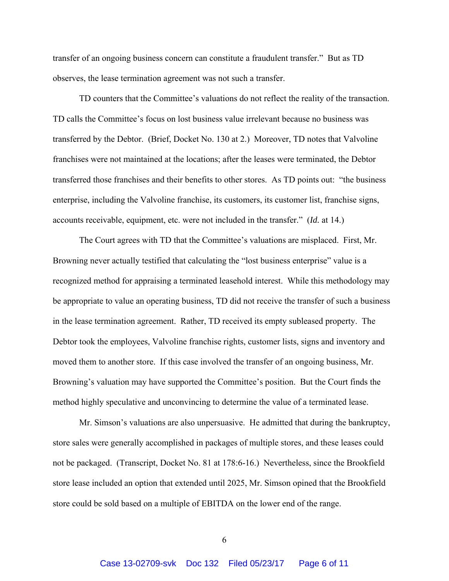transfer of an ongoing business concern can constitute a fraudulent transfer." But as TD observes, the lease termination agreement was not such a transfer.

TD counters that the Committee's valuations do not reflect the reality of the transaction. TD calls the Committee's focus on lost business value irrelevant because no business was transferred by the Debtor. (Brief, Docket No. 130 at 2.) Moreover, TD notes that Valvoline franchises were not maintained at the locations; after the leases were terminated, the Debtor transferred those franchises and their benefits to other stores. As TD points out: "the business enterprise, including the Valvoline franchise, its customers, its customer list, franchise signs, accounts receivable, equipment, etc. were not included in the transfer." (*Id.* at 14.)

 The Court agrees with TD that the Committee's valuations are misplaced. First, Mr. Browning never actually testified that calculating the "lost business enterprise" value is a recognized method for appraising a terminated leasehold interest. While this methodology may be appropriate to value an operating business, TD did not receive the transfer of such a business in the lease termination agreement. Rather, TD received its empty subleased property. The Debtor took the employees, Valvoline franchise rights, customer lists, signs and inventory and moved them to another store. If this case involved the transfer of an ongoing business, Mr. Browning's valuation may have supported the Committee's position. But the Court finds the method highly speculative and unconvincing to determine the value of a terminated lease.

Mr. Simson's valuations are also unpersuasive. He admitted that during the bankruptcy, store sales were generally accomplished in packages of multiple stores, and these leases could not be packaged. (Transcript, Docket No. 81 at 178:6-16.) Nevertheless, since the Brookfield store lease included an option that extended until 2025, Mr. Simson opined that the Brookfield store could be sold based on a multiple of EBITDA on the lower end of the range.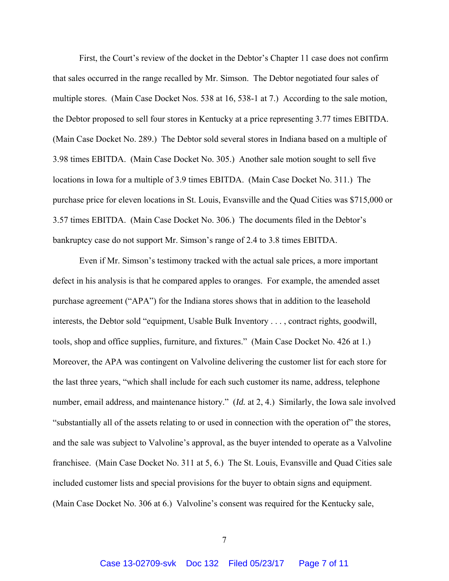First, the Court's review of the docket in the Debtor's Chapter 11 case does not confirm that sales occurred in the range recalled by Mr. Simson. The Debtor negotiated four sales of multiple stores. (Main Case Docket Nos. 538 at 16, 538-1 at 7.) According to the sale motion, the Debtor proposed to sell four stores in Kentucky at a price representing 3.77 times EBITDA. (Main Case Docket No. 289.) The Debtor sold several stores in Indiana based on a multiple of 3.98 times EBITDA. (Main Case Docket No. 305.) Another sale motion sought to sell five locations in Iowa for a multiple of 3.9 times EBITDA. (Main Case Docket No. 311.) The purchase price for eleven locations in St. Louis, Evansville and the Quad Cities was \$715,000 or 3.57 times EBITDA. (Main Case Docket No. 306.) The documents filed in the Debtor's bankruptcy case do not support Mr. Simson's range of 2.4 to 3.8 times EBITDA.

Even if Mr. Simson's testimony tracked with the actual sale prices, a more important defect in his analysis is that he compared apples to oranges. For example, the amended asset purchase agreement ("APA") for the Indiana stores shows that in addition to the leasehold interests, the Debtor sold "equipment, Usable Bulk Inventory . . . , contract rights, goodwill, tools, shop and office supplies, furniture, and fixtures." (Main Case Docket No. 426 at 1.) Moreover, the APA was contingent on Valvoline delivering the customer list for each store for the last three years, "which shall include for each such customer its name, address, telephone number, email address, and maintenance history." (*Id.* at 2, 4.) Similarly, the Iowa sale involved "substantially all of the assets relating to or used in connection with the operation of" the stores, and the sale was subject to Valvoline's approval, as the buyer intended to operate as a Valvoline franchisee. (Main Case Docket No. 311 at 5, 6.) The St. Louis, Evansville and Quad Cities sale included customer lists and special provisions for the buyer to obtain signs and equipment. (Main Case Docket No. 306 at 6.) Valvoline's consent was required for the Kentucky sale,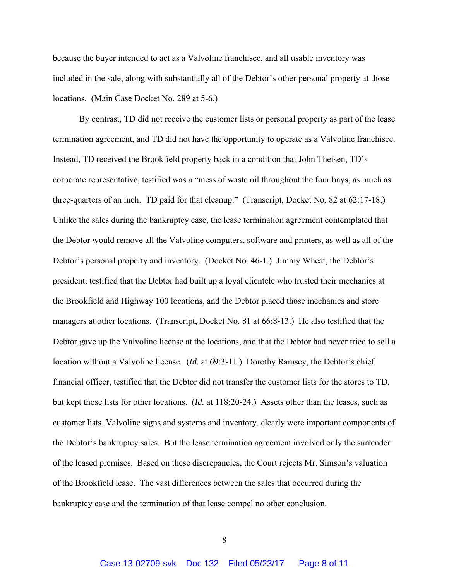because the buyer intended to act as a Valvoline franchisee, and all usable inventory was included in the sale, along with substantially all of the Debtor's other personal property at those locations. (Main Case Docket No. 289 at 5-6.)

By contrast, TD did not receive the customer lists or personal property as part of the lease termination agreement, and TD did not have the opportunity to operate as a Valvoline franchisee. Instead, TD received the Brookfield property back in a condition that John Theisen, TD's corporate representative, testified was a "mess of waste oil throughout the four bays, as much as three-quarters of an inch. TD paid for that cleanup." (Transcript, Docket No. 82 at 62:17-18.) Unlike the sales during the bankruptcy case, the lease termination agreement contemplated that the Debtor would remove all the Valvoline computers, software and printers, as well as all of the Debtor's personal property and inventory. (Docket No. 46-1.) Jimmy Wheat, the Debtor's president, testified that the Debtor had built up a loyal clientele who trusted their mechanics at the Brookfield and Highway 100 locations, and the Debtor placed those mechanics and store managers at other locations. (Transcript, Docket No. 81 at 66:8-13.) He also testified that the Debtor gave up the Valvoline license at the locations, and that the Debtor had never tried to sell a location without a Valvoline license. (*Id.* at 69:3-11.) Dorothy Ramsey, the Debtor's chief financial officer, testified that the Debtor did not transfer the customer lists for the stores to TD, but kept those lists for other locations. (*Id.* at 118:20-24.) Assets other than the leases, such as customer lists, Valvoline signs and systems and inventory, clearly were important components of the Debtor's bankruptcy sales. But the lease termination agreement involved only the surrender of the leased premises. Based on these discrepancies, the Court rejects Mr. Simson's valuation of the Brookfield lease. The vast differences between the sales that occurred during the bankruptcy case and the termination of that lease compel no other conclusion.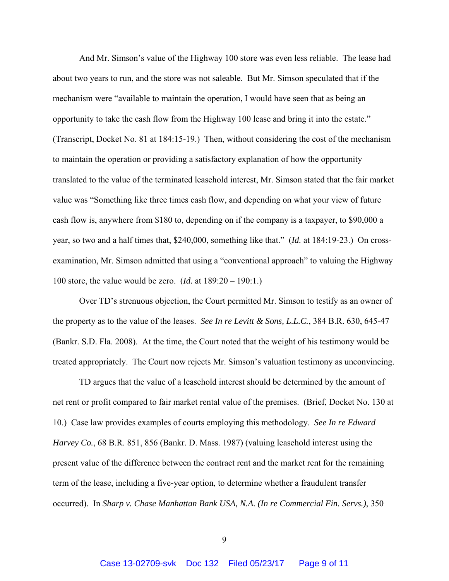And Mr. Simson's value of the Highway 100 store was even less reliable. The lease had about two years to run, and the store was not saleable. But Mr. Simson speculated that if the mechanism were "available to maintain the operation, I would have seen that as being an opportunity to take the cash flow from the Highway 100 lease and bring it into the estate." (Transcript, Docket No. 81 at 184:15-19.) Then, without considering the cost of the mechanism to maintain the operation or providing a satisfactory explanation of how the opportunity translated to the value of the terminated leasehold interest, Mr. Simson stated that the fair market value was "Something like three times cash flow, and depending on what your view of future cash flow is, anywhere from \$180 to, depending on if the company is a taxpayer, to \$90,000 a year, so two and a half times that, \$240,000, something like that." (*Id.* at 184:19-23.) On crossexamination, Mr. Simson admitted that using a "conventional approach" to valuing the Highway 100 store, the value would be zero. (*Id.* at 189:20 – 190:1.)

Over TD's strenuous objection, the Court permitted Mr. Simson to testify as an owner of the property as to the value of the leases. *See In re Levitt & Sons, L.L.C.*, 384 B.R. 630, 645-47 (Bankr. S.D. Fla. 2008). At the time, the Court noted that the weight of his testimony would be treated appropriately. The Court now rejects Mr. Simson's valuation testimony as unconvincing.

TD argues that the value of a leasehold interest should be determined by the amount of net rent or profit compared to fair market rental value of the premises. (Brief, Docket No. 130 at 10.) Case law provides examples of courts employing this methodology. *See In re Edward Harvey Co.*, 68 B.R. 851, 856 (Bankr. D. Mass. 1987) (valuing leasehold interest using the present value of the difference between the contract rent and the market rent for the remaining term of the lease, including a five-year option, to determine whether a fraudulent transfer occurred). In *Sharp v. Chase Manhattan Bank USA, N.A. (In re Commercial Fin. Servs.)*, 350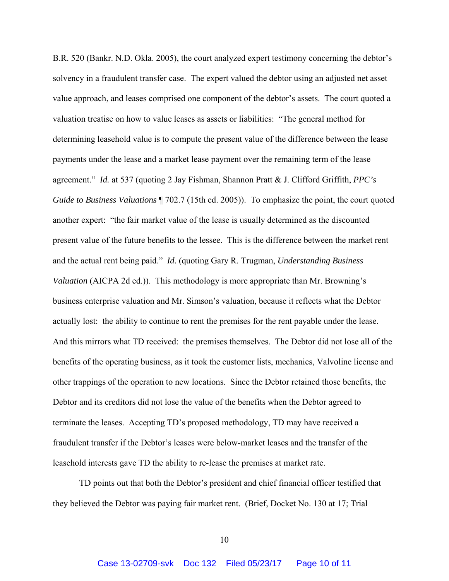B.R. 520 (Bankr. N.D. Okla. 2005), the court analyzed expert testimony concerning the debtor's solvency in a fraudulent transfer case. The expert valued the debtor using an adjusted net asset value approach, and leases comprised one component of the debtor's assets. The court quoted a valuation treatise on how to value leases as assets or liabilities: "The general method for determining leasehold value is to compute the present value of the difference between the lease payments under the lease and a market lease payment over the remaining term of the lease agreement." *Id.* at 537 (quoting 2 Jay Fishman, Shannon Pratt & J. Clifford Griffith, *PPC's Guide to Business Valuations*  $\sqrt{702.7}$  (15th ed. 2005)). To emphasize the point, the court quoted another expert: "the fair market value of the lease is usually determined as the discounted present value of the future benefits to the lessee. This is the difference between the market rent and the actual rent being paid." *Id.* (quoting Gary R. Trugman, *Understanding Business Valuation* (AICPA 2d ed.)). This methodology is more appropriate than Mr. Browning's business enterprise valuation and Mr. Simson's valuation, because it reflects what the Debtor actually lost: the ability to continue to rent the premises for the rent payable under the lease. And this mirrors what TD received: the premises themselves. The Debtor did not lose all of the benefits of the operating business, as it took the customer lists, mechanics, Valvoline license and other trappings of the operation to new locations. Since the Debtor retained those benefits, the Debtor and its creditors did not lose the value of the benefits when the Debtor agreed to terminate the leases. Accepting TD's proposed methodology, TD may have received a fraudulent transfer if the Debtor's leases were below-market leases and the transfer of the leasehold interests gave TD the ability to re-lease the premises at market rate.

TD points out that both the Debtor's president and chief financial officer testified that they believed the Debtor was paying fair market rent. (Brief, Docket No. 130 at 17; Trial